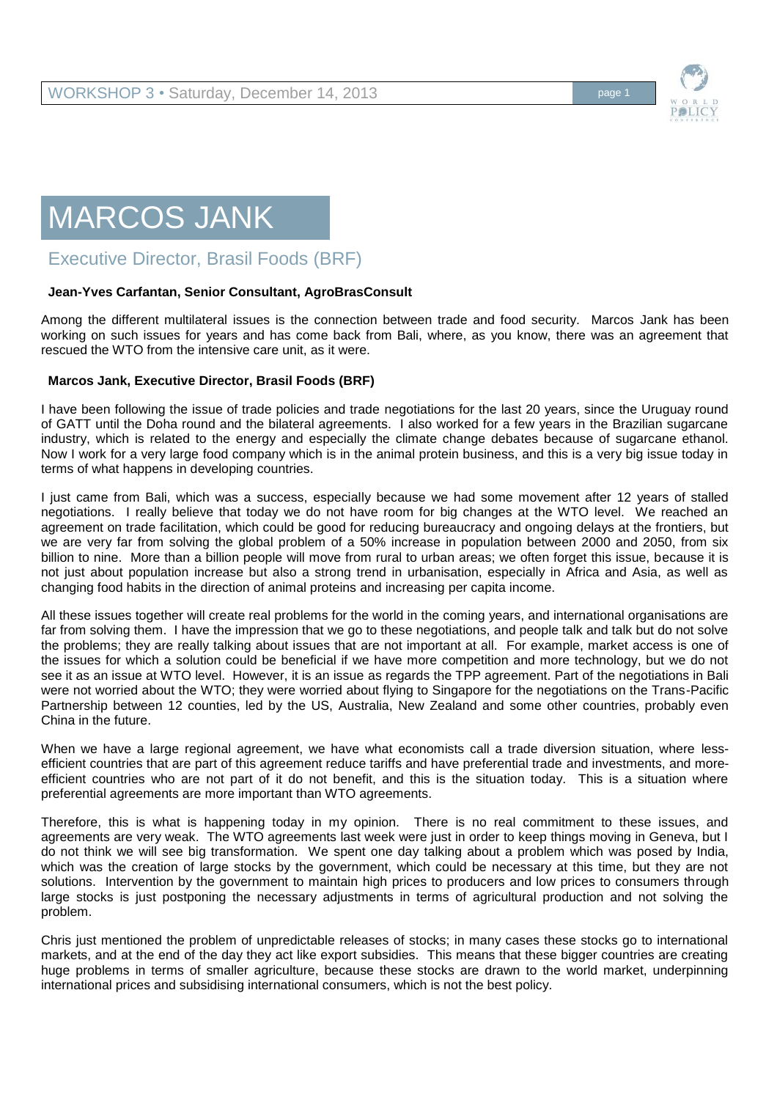

## MARCOS JANK

Executive Director, Brasil Foods (BRF)

## **Jean-Yves Carfantan, Senior Consultant, AgroBrasConsult**

Among the different multilateral issues is the connection between trade and food security. Marcos Jank has been working on such issues for years and has come back from Bali, where, as you know, there was an agreement that rescued the WTO from the intensive care unit, as it were.

## **Marcos Jank, Executive Director, Brasil Foods (BRF)**

I have been following the issue of trade policies and trade negotiations for the last 20 years, since the Uruguay round of GATT until the Doha round and the bilateral agreements. I also worked for a few years in the Brazilian sugarcane industry, which is related to the energy and especially the climate change debates because of sugarcane ethanol. Now I work for a very large food company which is in the animal protein business, and this is a very big issue today in terms of what happens in developing countries.

I just came from Bali, which was a success, especially because we had some movement after 12 years of stalled negotiations. I really believe that today we do not have room for big changes at the WTO level. We reached an agreement on trade facilitation, which could be good for reducing bureaucracy and ongoing delays at the frontiers, but we are very far from solving the global problem of a 50% increase in population between 2000 and 2050, from six billion to nine. More than a billion people will move from rural to urban areas; we often forget this issue, because it is not just about population increase but also a strong trend in urbanisation, especially in Africa and Asia, as well as changing food habits in the direction of animal proteins and increasing per capita income.

All these issues together will create real problems for the world in the coming years, and international organisations are far from solving them. I have the impression that we go to these negotiations, and people talk and talk but do not solve the problems; they are really talking about issues that are not important at all. For example, market access is one of the issues for which a solution could be beneficial if we have more competition and more technology, but we do not see it as an issue at WTO level. However, it is an issue as regards the TPP agreement. Part of the negotiations in Bali were not worried about the WTO; they were worried about flying to Singapore for the negotiations on the Trans-Pacific Partnership between 12 counties, led by the US, Australia, New Zealand and some other countries, probably even China in the future.

When we have a large regional agreement, we have what economists call a trade diversion situation, where lessefficient countries that are part of this agreement reduce tariffs and have preferential trade and investments, and moreefficient countries who are not part of it do not benefit, and this is the situation today. This is a situation where preferential agreements are more important than WTO agreements.

Therefore, this is what is happening today in my opinion. There is no real commitment to these issues, and agreements are very weak. The WTO agreements last week were just in order to keep things moving in Geneva, but I do not think we will see big transformation. We spent one day talking about a problem which was posed by India, which was the creation of large stocks by the government, which could be necessary at this time, but they are not solutions. Intervention by the government to maintain high prices to producers and low prices to consumers through large stocks is just postponing the necessary adjustments in terms of agricultural production and not solving the problem.

Chris just mentioned the problem of unpredictable releases of stocks; in many cases these stocks go to international markets, and at the end of the day they act like export subsidies. This means that these bigger countries are creating huge problems in terms of smaller agriculture, because these stocks are drawn to the world market, underpinning international prices and subsidising international consumers, which is not the best policy.